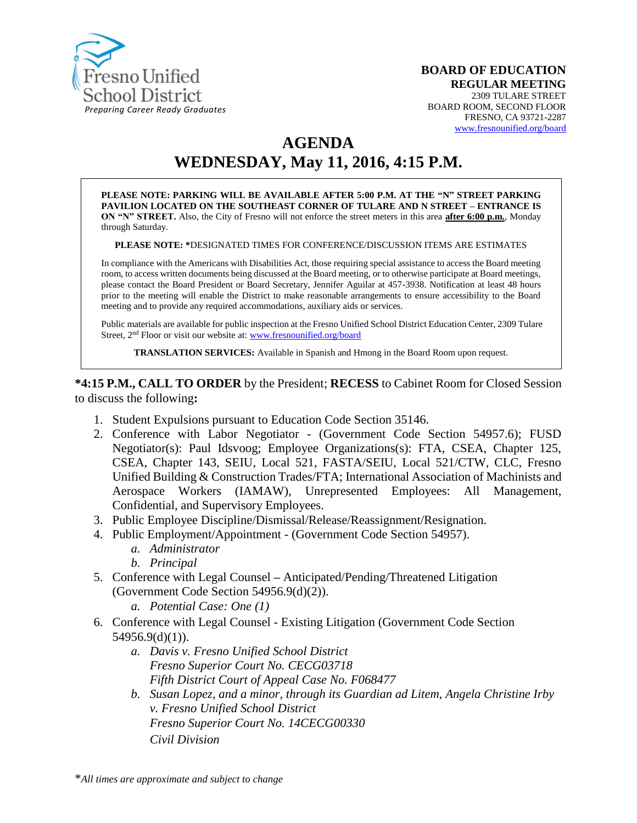

**BOARD OF EDUCATION REGULAR MEETING** 2309 TULARE STREET BOARD ROOM, SECOND FLOOR FRESNO, CA 93721-2287 [www.fresnounified.org/board](http://www.fresnounified.org/board)

# **AGENDA**

# **WEDNESDAY, May 11, 2016, 4:15 P.M.**

**PLEASE NOTE: PARKING WILL BE AVAILABLE AFTER 5:00 P.M. AT THE "N" STREET PARKING PAVILION LOCATED ON THE SOUTHEAST CORNER OF TULARE AND N STREET – ENTRANCE IS ON "N" STREET.** Also, the City of Fresno will not enforce the street meters in this area **after 6:00 p.m.**, Monday through Saturday.

**PLEASE NOTE: \***DESIGNATED TIMES FOR CONFERENCE/DISCUSSION ITEMS ARE ESTIMATES

In compliance with the Americans with Disabilities Act, those requiring special assistance to access the Board meeting room, to access written documents being discussed at the Board meeting, or to otherwise participate at Board meetings, please contact the Board President or Board Secretary, Jennifer Aguilar at 457-3938. Notification at least 48 hours prior to the meeting will enable the District to make reasonable arrangements to ensure accessibility to the Board meeting and to provide any required accommodations, auxiliary aids or services.

Public materials are available for public inspection at the Fresno Unified School District Education Center, 2309 Tulare Street, 2nd Floor or visit our website at: [www.fresnounified.org/board](http://www.fresnounified.org/board)

**TRANSLATION SERVICES:** Available in Spanish and Hmong in the Board Room upon request.

**\*4:15 P.M., CALL TO ORDER** by the President; **RECESS** to Cabinet Room for Closed Session to discuss the following**:**

- 1. Student Expulsions pursuant to Education Code Section 35146.
- 2. Conference with Labor Negotiator (Government Code Section 54957.6); FUSD Negotiator(s): Paul Idsvoog; Employee Organizations(s): FTA, CSEA, Chapter 125, CSEA, Chapter 143, SEIU, Local 521, FASTA/SEIU, Local 521/CTW, CLC, Fresno Unified Building & Construction Trades/FTA; International Association of Machinists and Aerospace Workers (IAMAW), Unrepresented Employees: All Management, Confidential, and Supervisory Employees.
- 3. Public Employee Discipline/Dismissal/Release/Reassignment/Resignation.
- 4. Public Employment/Appointment (Government Code Section 54957).
	- *a. Administrator*
	- *b. Principal*
- 5. Conference with Legal Counsel **–** Anticipated/Pending/Threatened Litigation (Government Code Section 54956.9(d)(2)).
	- *a. Potential Case: One (1)*
- 6. Conference with Legal Counsel Existing Litigation (Government Code Section  $54956.9(d)(1)$ ).
	- *a. Davis v. Fresno Unified School District Fresno Superior Court No. CECG03718 Fifth District Court of Appeal Case No. F068477*
	- *b. Susan Lopez, and a minor, through its Guardian ad Litem, Angela Christine Irby v. Fresno Unified School District Fresno Superior Court No. 14CECG00330 Civil Division*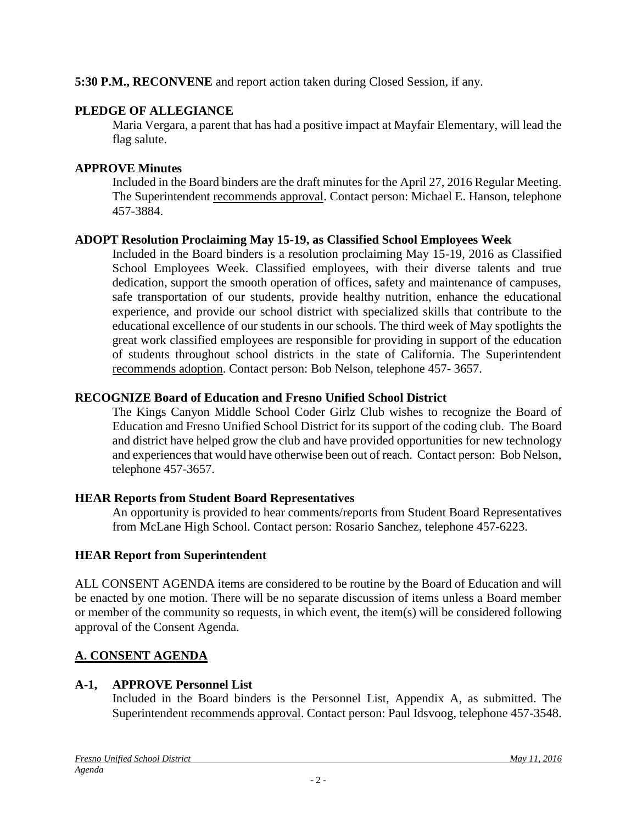**5:30 P.M., RECONVENE** and report action taken during Closed Session, if any.

### **PLEDGE OF ALLEGIANCE**

Maria Vergara, a parent that has had a positive impact at Mayfair Elementary, will lead the flag salute.

# **APPROVE Minutes**

Included in the Board binders are the draft minutes for the April 27, 2016 Regular Meeting. The Superintendent recommends approval. Contact person: Michael E. Hanson, telephone 457-3884.

# **ADOPT Resolution Proclaiming May 15-19, as Classified School Employees Week**

Included in the Board binders is a resolution proclaiming May 15-19, 2016 as Classified School Employees Week. Classified employees, with their diverse talents and true dedication, support the smooth operation of offices, safety and maintenance of campuses, safe transportation of our students, provide healthy nutrition, enhance the educational experience, and provide our school district with specialized skills that contribute to the educational excellence of our students in our schools. The third week of May spotlights the great work classified employees are responsible for providing in support of the education of students throughout school districts in the state of California. The Superintendent recommends adoption. Contact person: Bob Nelson, telephone 457- 3657.

# **RECOGNIZE Board of Education and Fresno Unified School District**

The Kings Canyon Middle School Coder Girlz Club wishes to recognize the Board of Education and Fresno Unified School District for its support of the coding club. The Board and district have helped grow the club and have provided opportunities for new technology and experiences that would have otherwise been out of reach. Contact person: Bob Nelson, telephone 457-3657.

# **HEAR Reports from Student Board Representatives**

An opportunity is provided to hear comments/reports from Student Board Representatives from McLane High School. Contact person: Rosario Sanchez, telephone 457-6223.

# **HEAR Report from Superintendent**

ALL CONSENT AGENDA items are considered to be routine by the Board of Education and will be enacted by one motion. There will be no separate discussion of items unless a Board member or member of the community so requests, in which event, the item(s) will be considered following approval of the Consent Agenda.

# **A. CONSENT AGENDA**

# **A-1, APPROVE Personnel List**

Included in the Board binders is the Personnel List, Appendix A, as submitted. The Superintendent recommends approval. Contact person: Paul Idsvoog, telephone 457-3548.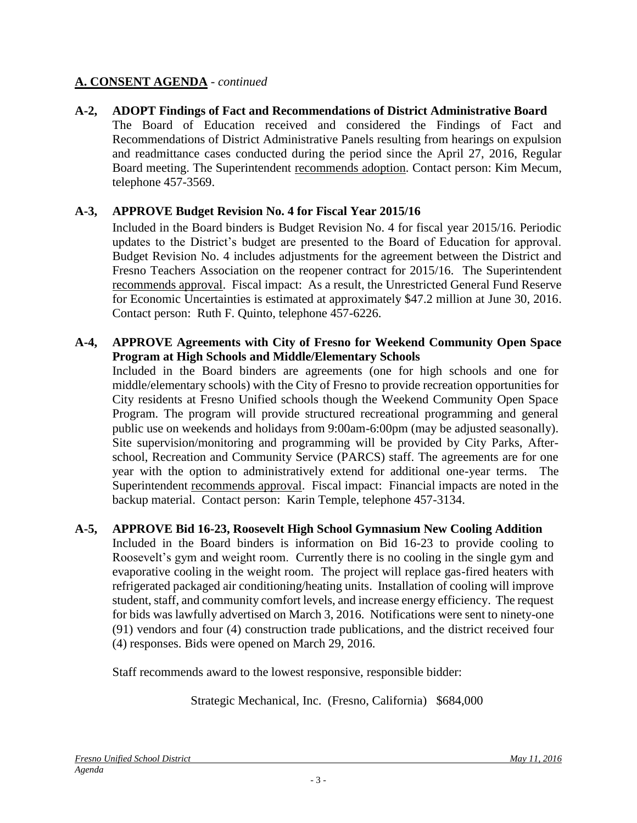### **A. CONSENT AGENDA** - *continued*

**A-2, ADOPT Findings of Fact and Recommendations of District Administrative Board** The Board of Education received and considered the Findings of Fact and Recommendations of District Administrative Panels resulting from hearings on expulsion and readmittance cases conducted during the period since the April 27, 2016, Regular Board meeting. The Superintendent recommends adoption. Contact person: Kim Mecum, telephone 457-3569.

### **A-3, APPROVE Budget Revision No. 4 for Fiscal Year 2015/16**

Included in the Board binders is Budget Revision No. 4 for fiscal year 2015/16. Periodic updates to the District's budget are presented to the Board of Education for approval. Budget Revision No. 4 includes adjustments for the agreement between the District and Fresno Teachers Association on the reopener contract for 2015/16. The Superintendent recommends approval. Fiscal impact: As a result, the Unrestricted General Fund Reserve for Economic Uncertainties is estimated at approximately \$47.2 million at June 30, 2016. Contact person: Ruth F. Quinto, telephone 457-6226.

#### **A-4, APPROVE Agreements with City of Fresno for Weekend Community Open Space Program at High Schools and Middle/Elementary Schools**

Included in the Board binders are agreements (one for high schools and one for middle/elementary schools) with the City of Fresno to provide recreation opportunities for City residents at Fresno Unified schools though the Weekend Community Open Space Program. The program will provide structured recreational programming and general public use on weekends and holidays from 9:00am-6:00pm (may be adjusted seasonally). Site supervision/monitoring and programming will be provided by City Parks, Afterschool, Recreation and Community Service (PARCS) staff. The agreements are for one year with the option to administratively extend for additional one-year terms. The Superintendent recommends approval. Fiscal impact: Financial impacts are noted in the backup material. Contact person: Karin Temple, telephone 457-3134.

### **A-5, APPROVE Bid 16-23, Roosevelt High School Gymnasium New Cooling Addition**

Included in the Board binders is information on Bid 16-23 to provide cooling to Roosevelt's gym and weight room. Currently there is no cooling in the single gym and evaporative cooling in the weight room. The project will replace gas-fired heaters with refrigerated packaged air conditioning/heating units. Installation of cooling will improve student, staff, and community comfort levels, and increase energy efficiency. The request for bids was lawfully advertised on March 3, 2016. Notifications were sent to ninety-one (91) vendors and four (4) construction trade publications, and the district received four (4) responses. Bids were opened on March 29, 2016.

Staff recommends award to the lowest responsive, responsible bidder:

Strategic Mechanical, Inc. (Fresno, California) \$684,000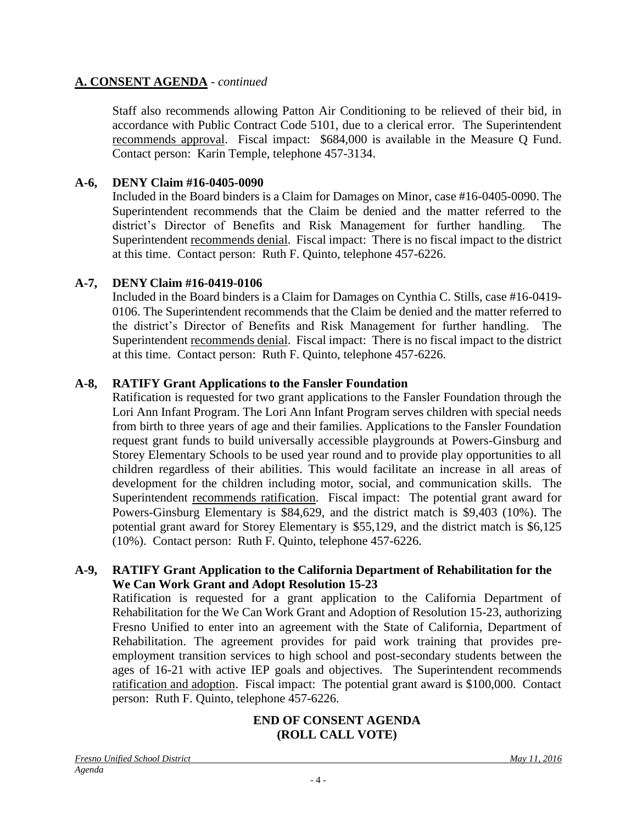### **A. CONSENT AGENDA** - *continued*

Staff also recommends allowing Patton Air Conditioning to be relieved of their bid, in accordance with Public Contract Code 5101, due to a clerical error. The Superintendent recommends approval. Fiscal impact: \$684,000 is available in the Measure Q Fund. Contact person: Karin Temple, telephone 457-3134.

### **A-6, DENY Claim #16-0405-0090**

Included in the Board binders is a Claim for Damages on Minor, case #16-0405-0090. The Superintendent recommends that the Claim be denied and the matter referred to the district's Director of Benefits and Risk Management for further handling. The Superintendent recommends denial. Fiscal impact: There is no fiscal impact to the district at this time. Contact person: Ruth F. Quinto, telephone 457-6226.

### **A-7, DENY Claim #16-0419-0106**

Included in the Board binders is a Claim for Damages on Cynthia C. Stills, case #16-0419- 0106. The Superintendent recommends that the Claim be denied and the matter referred to the district's Director of Benefits and Risk Management for further handling. The Superintendent recommends denial. Fiscal impact: There is no fiscal impact to the district at this time. Contact person: Ruth F. Quinto, telephone 457-6226.

### **A-8, RATIFY Grant Applications to the Fansler Foundation**

Ratification is requested for two grant applications to the Fansler Foundation through the Lori Ann Infant Program. The Lori Ann Infant Program serves children with special needs from birth to three years of age and their families. Applications to the Fansler Foundation request grant funds to build universally accessible playgrounds at Powers-Ginsburg and Storey Elementary Schools to be used year round and to provide play opportunities to all children regardless of their abilities. This would facilitate an increase in all areas of development for the children including motor, social, and communication skills. The Superintendent recommends ratification. Fiscal impact: The potential grant award for Powers-Ginsburg Elementary is \$84,629, and the district match is \$9,403 (10%). The potential grant award for Storey Elementary is \$55,129, and the district match is \$6,125 (10%). Contact person: Ruth F. Quinto, telephone 457-6226.

### **A-9, RATIFY Grant Application to the California Department of Rehabilitation for the We Can Work Grant and Adopt Resolution 15-23**

Ratification is requested for a grant application to the California Department of Rehabilitation for the We Can Work Grant and Adoption of Resolution 15-23, authorizing Fresno Unified to enter into an agreement with the State of California, Department of Rehabilitation. The agreement provides for paid work training that provides preemployment transition services to high school and post-secondary students between the ages of 16-21 with active IEP goals and objectives. The Superintendent recommends ratification and adoption. Fiscal impact: The potential grant award is \$100,000. Contact person: Ruth F. Quinto, telephone 457-6226.

### **END OF CONSENT AGENDA (ROLL CALL VOTE)**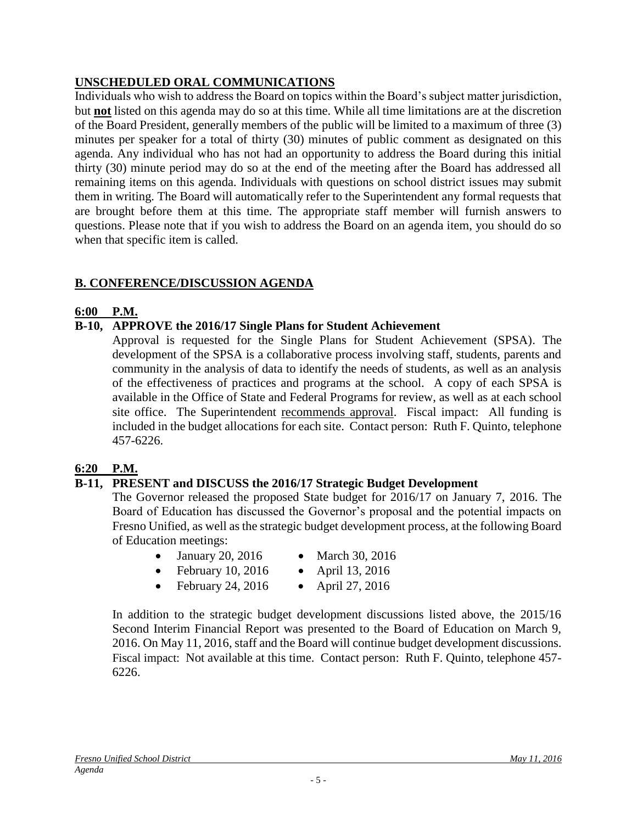### **UNSCHEDULED ORAL COMMUNICATIONS**

Individuals who wish to address the Board on topics within the Board's subject matter jurisdiction, but **not** listed on this agenda may do so at this time. While all time limitations are at the discretion of the Board President, generally members of the public will be limited to a maximum of three (3) minutes per speaker for a total of thirty (30) minutes of public comment as designated on this agenda. Any individual who has not had an opportunity to address the Board during this initial thirty (30) minute period may do so at the end of the meeting after the Board has addressed all remaining items on this agenda. Individuals with questions on school district issues may submit them in writing. The Board will automatically refer to the Superintendent any formal requests that are brought before them at this time. The appropriate staff member will furnish answers to questions. Please note that if you wish to address the Board on an agenda item, you should do so when that specific item is called.

### **B. CONFERENCE/DISCUSSION AGENDA**

### **6:00 P.M.**

### **B-10, APPROVE the 2016/17 Single Plans for Student Achievement**

Approval is requested for the Single Plans for Student Achievement (SPSA). The development of the SPSA is a collaborative process involving staff, students, parents and community in the analysis of data to identify the needs of students, as well as an analysis of the effectiveness of practices and programs at the school. A copy of each SPSA is available in the Office of State and Federal Programs for review, as well as at each school site office. The Superintendent recommends approval. Fiscal impact: All funding is included in the budget allocations for each site. Contact person: Ruth F. Quinto, telephone 457-6226.

### **6:20 P.M.**

### **B-11, PRESENT and DISCUSS the 2016/17 Strategic Budget Development**

The Governor released the proposed State budget for 2016/17 on January 7, 2016. The Board of Education has discussed the Governor's proposal and the potential impacts on Fresno Unified, as well as the strategic budget development process, at the following Board of Education meetings:

- January 20, 2016 March 30, 2016
- February 10, 2016 April 13, 2016
- February 24, 2016  $\bullet$  April 27, 2016

In addition to the strategic budget development discussions listed above, the 2015/16 Second Interim Financial Report was presented to the Board of Education on March 9, 2016. On May 11, 2016, staff and the Board will continue budget development discussions. Fiscal impact: Not available at this time. Contact person: Ruth F. Quinto, telephone 457- 6226.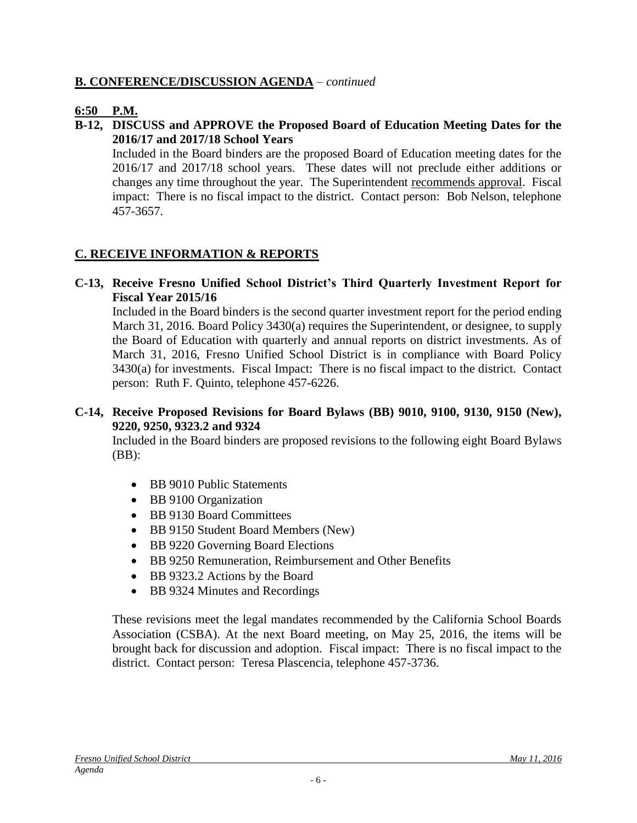### **B. CONFERENCE/DISCUSSION AGENDA** – *continued*

### **6:50 P.M.**

### **B-12, DISCUSS and APPROVE the Proposed Board of Education Meeting Dates for the 2016/17 and 2017/18 School Years**

Included in the Board binders are the proposed Board of Education meeting dates for the 2016/17 and 2017/18 school years. These dates will not preclude either additions or changes any time throughout the year. The Superintendent recommends approval. Fiscal impact: There is no fiscal impact to the district. Contact person: Bob Nelson, telephone 457-3657.

### **C. RECEIVE INFORMATION & REPORTS**

### **C-13, Receive Fresno Unified School District's Third Quarterly Investment Report for Fiscal Year 2015/16**

Included in the Board binders is the second quarter investment report for the period ending March 31, 2016. Board Policy 3430(a) requires the Superintendent, or designee, to supply the Board of Education with quarterly and annual reports on district investments. As of March 31, 2016, Fresno Unified School District is in compliance with Board Policy 3430(a) for investments. Fiscal Impact: There is no fiscal impact to the district. Contact person: Ruth F. Quinto, telephone 457-6226.

### **C-14, Receive Proposed Revisions for Board Bylaws (BB) 9010, 9100, 9130, 9150 (New), 9220, 9250, 9323.2 and 9324**

Included in the Board binders are proposed revisions to the following eight Board Bylaws  $(BB)$ :

- BB 9010 Public Statements
- BB 9100 Organization
- BB 9130 Board Committees
- BB 9150 Student Board Members (New)
- BB 9220 Governing Board Elections
- BB 9250 Remuneration, Reimbursement and Other Benefits
- BB 9323.2 Actions by the Board
- BB 9324 Minutes and Recordings

These revisions meet the legal mandates recommended by the California School Boards Association (CSBA). At the next Board meeting, on May 25, 2016, the items will be brought back for discussion and adoption. Fiscal impact: There is no fiscal impact to the district. Contact person: Teresa Plascencia, telephone 457-3736.